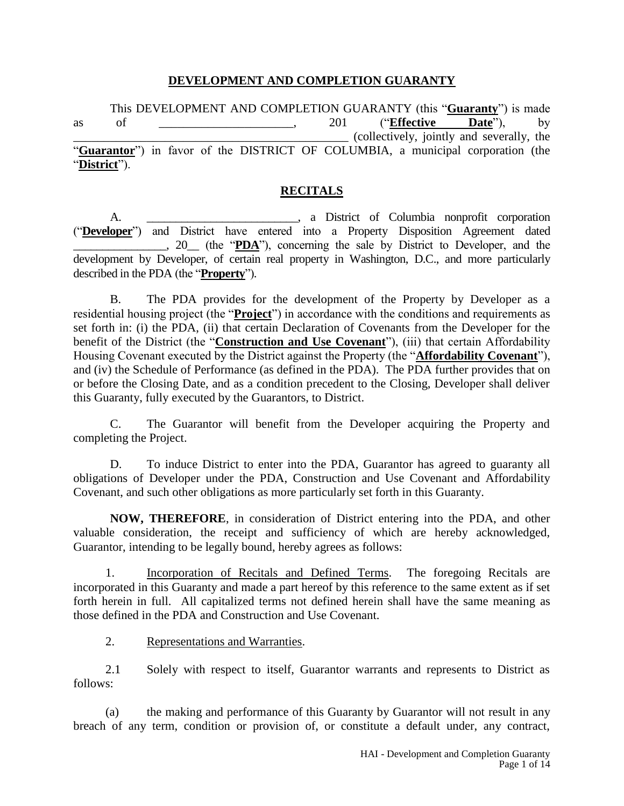### **DEVELOPMENT AND COMPLETION GUARANTY**

This DEVELOPMENT AND COMPLETION GUARANTY (this "**Guaranty**") is made as of \_\_\_\_\_\_\_\_\_\_\_\_\_\_\_\_\_\_\_\_\_\_, 201 ("**Effective Date**"), by \_\_\_\_\_\_\_\_\_\_\_\_\_\_\_\_\_\_\_\_\_\_\_\_\_\_\_\_\_\_\_\_\_\_\_\_\_\_\_\_\_\_\_\_\_ (collectively, jointly and severally, the "**Guarantor**") in favor of the DISTRICT OF COLUMBIA, a municipal corporation (the "**District**").

#### **RECITALS**

A. \_\_\_\_\_\_\_\_\_\_\_\_\_\_\_\_\_\_\_\_\_\_\_\_\_\_, a District of Columbia nonprofit corporation ("**Developer**") and District have entered into a Property Disposition Agreement dated \_\_\_\_\_\_\_\_\_\_\_\_\_\_\_\_, 20\_\_ (the "**PDA**"), concerning the sale by District to Developer, and the development by Developer, of certain real property in Washington, D.C., and more particularly described in the PDA (the "**Property**").

B. The PDA provides for the development of the Property by Developer as a residential housing project (the "**Project**") in accordance with the conditions and requirements as set forth in: (i) the PDA, (ii) that certain Declaration of Covenants from the Developer for the benefit of the District (the "**Construction and Use Covenant**"), (iii) that certain Affordability Housing Covenant executed by the District against the Property (the "**Affordability Covenant**"), and (iv) the Schedule of Performance (as defined in the PDA). The PDA further provides that on or before the Closing Date, and as a condition precedent to the Closing, Developer shall deliver this Guaranty, fully executed by the Guarantors, to District.

C. The Guarantor will benefit from the Developer acquiring the Property and completing the Project.

D. To induce District to enter into the PDA, Guarantor has agreed to guaranty all obligations of Developer under the PDA, Construction and Use Covenant and Affordability Covenant, and such other obligations as more particularly set forth in this Guaranty.

**NOW, THEREFORE**, in consideration of District entering into the PDA, and other valuable consideration, the receipt and sufficiency of which are hereby acknowledged, Guarantor, intending to be legally bound, hereby agrees as follows:

1. Incorporation of Recitals and Defined Terms. The foregoing Recitals are incorporated in this Guaranty and made a part hereof by this reference to the same extent as if set forth herein in full. All capitalized terms not defined herein shall have the same meaning as those defined in the PDA and Construction and Use Covenant.

2. Representations and Warranties.

2.1 Solely with respect to itself, Guarantor warrants and represents to District as follows:

(a) the making and performance of this Guaranty by Guarantor will not result in any breach of any term, condition or provision of, or constitute a default under, any contract,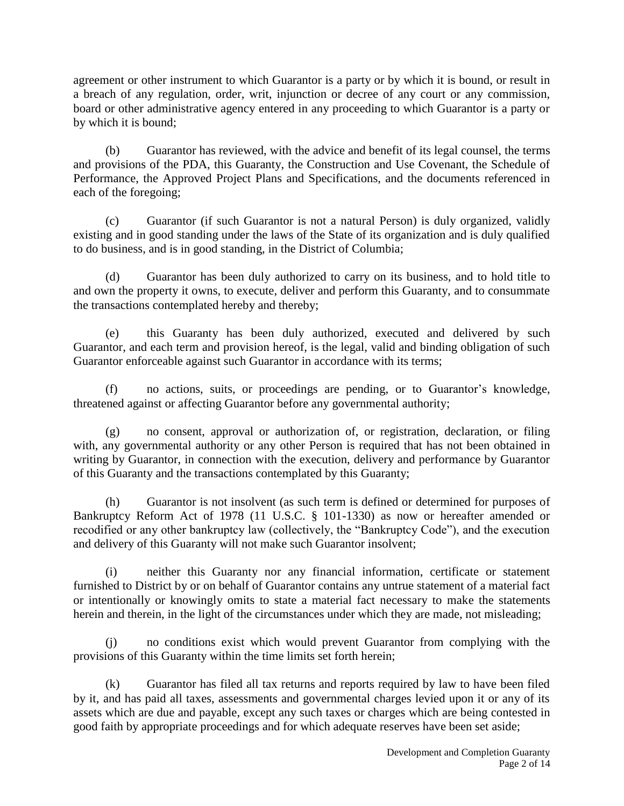agreement or other instrument to which Guarantor is a party or by which it is bound, or result in a breach of any regulation, order, writ, injunction or decree of any court or any commission, board or other administrative agency entered in any proceeding to which Guarantor is a party or by which it is bound;

(b) Guarantor has reviewed, with the advice and benefit of its legal counsel, the terms and provisions of the PDA, this Guaranty, the Construction and Use Covenant, the Schedule of Performance, the Approved Project Plans and Specifications, and the documents referenced in each of the foregoing;

(c) Guarantor (if such Guarantor is not a natural Person) is duly organized, validly existing and in good standing under the laws of the State of its organization and is duly qualified to do business, and is in good standing, in the District of Columbia;

(d) Guarantor has been duly authorized to carry on its business, and to hold title to and own the property it owns, to execute, deliver and perform this Guaranty, and to consummate the transactions contemplated hereby and thereby;

(e) this Guaranty has been duly authorized, executed and delivered by such Guarantor, and each term and provision hereof, is the legal, valid and binding obligation of such Guarantor enforceable against such Guarantor in accordance with its terms;

(f) no actions, suits, or proceedings are pending, or to Guarantor's knowledge, threatened against or affecting Guarantor before any governmental authority;

(g) no consent, approval or authorization of, or registration, declaration, or filing with, any governmental authority or any other Person is required that has not been obtained in writing by Guarantor, in connection with the execution, delivery and performance by Guarantor of this Guaranty and the transactions contemplated by this Guaranty;

(h) Guarantor is not insolvent (as such term is defined or determined for purposes of Bankruptcy Reform Act of 1978 (11 U.S.C. § 101-1330) as now or hereafter amended or recodified or any other bankruptcy law (collectively, the "Bankruptcy Code"), and the execution and delivery of this Guaranty will not make such Guarantor insolvent;

(i) neither this Guaranty nor any financial information, certificate or statement furnished to District by or on behalf of Guarantor contains any untrue statement of a material fact or intentionally or knowingly omits to state a material fact necessary to make the statements herein and therein, in the light of the circumstances under which they are made, not misleading;

(j) no conditions exist which would prevent Guarantor from complying with the provisions of this Guaranty within the time limits set forth herein;

(k) Guarantor has filed all tax returns and reports required by law to have been filed by it, and has paid all taxes, assessments and governmental charges levied upon it or any of its assets which are due and payable, except any such taxes or charges which are being contested in good faith by appropriate proceedings and for which adequate reserves have been set aside;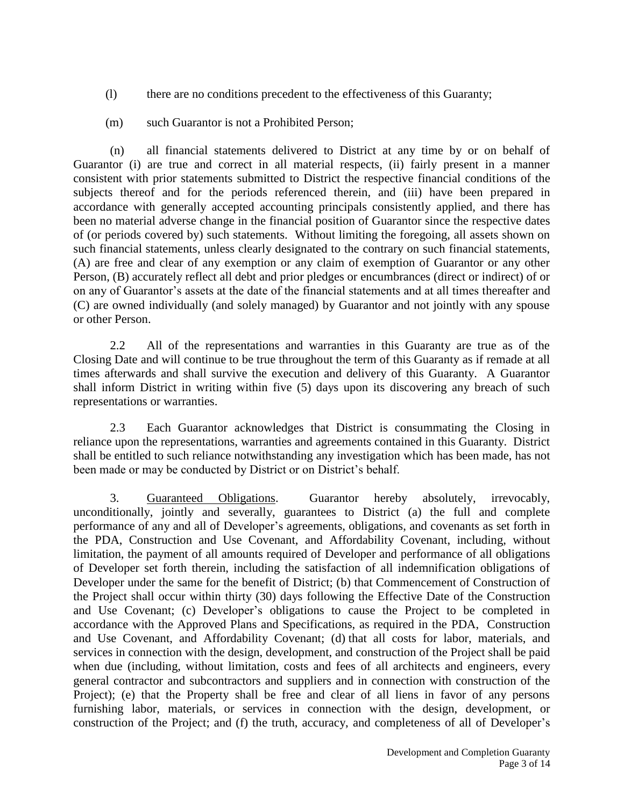- (l) there are no conditions precedent to the effectiveness of this Guaranty;
- (m) such Guarantor is not a Prohibited Person;

(n) all financial statements delivered to District at any time by or on behalf of Guarantor (i) are true and correct in all material respects, (ii) fairly present in a manner consistent with prior statements submitted to District the respective financial conditions of the subjects thereof and for the periods referenced therein, and (iii) have been prepared in accordance with generally accepted accounting principals consistently applied, and there has been no material adverse change in the financial position of Guarantor since the respective dates of (or periods covered by) such statements. Without limiting the foregoing, all assets shown on such financial statements, unless clearly designated to the contrary on such financial statements, (A) are free and clear of any exemption or any claim of exemption of Guarantor or any other Person, (B) accurately reflect all debt and prior pledges or encumbrances (direct or indirect) of or on any of Guarantor's assets at the date of the financial statements and at all times thereafter and (C) are owned individually (and solely managed) by Guarantor and not jointly with any spouse or other Person.

2.2 All of the representations and warranties in this Guaranty are true as of the Closing Date and will continue to be true throughout the term of this Guaranty as if remade at all times afterwards and shall survive the execution and delivery of this Guaranty. A Guarantor shall inform District in writing within five (5) days upon its discovering any breach of such representations or warranties.

2.3 Each Guarantor acknowledges that District is consummating the Closing in reliance upon the representations, warranties and agreements contained in this Guaranty. District shall be entitled to such reliance notwithstanding any investigation which has been made, has not been made or may be conducted by District or on District's behalf.

3. Guaranteed Obligations. Guarantor hereby absolutely, irrevocably, unconditionally, jointly and severally, guarantees to District (a) the full and complete performance of any and all of Developer's agreements, obligations, and covenants as set forth in the PDA, Construction and Use Covenant, and Affordability Covenant, including, without limitation, the payment of all amounts required of Developer and performance of all obligations of Developer set forth therein, including the satisfaction of all indemnification obligations of Developer under the same for the benefit of District; (b) that Commencement of Construction of the Project shall occur within thirty (30) days following the Effective Date of the Construction and Use Covenant; (c) Developer's obligations to cause the Project to be completed in accordance with the Approved Plans and Specifications, as required in the PDA, Construction and Use Covenant, and Affordability Covenant; (d) that all costs for labor, materials, and services in connection with the design, development, and construction of the Project shall be paid when due (including, without limitation, costs and fees of all architects and engineers, every general contractor and subcontractors and suppliers and in connection with construction of the Project); (e) that the Property shall be free and clear of all liens in favor of any persons furnishing labor, materials, or services in connection with the design, development, or construction of the Project; and (f) the truth, accuracy, and completeness of all of Developer's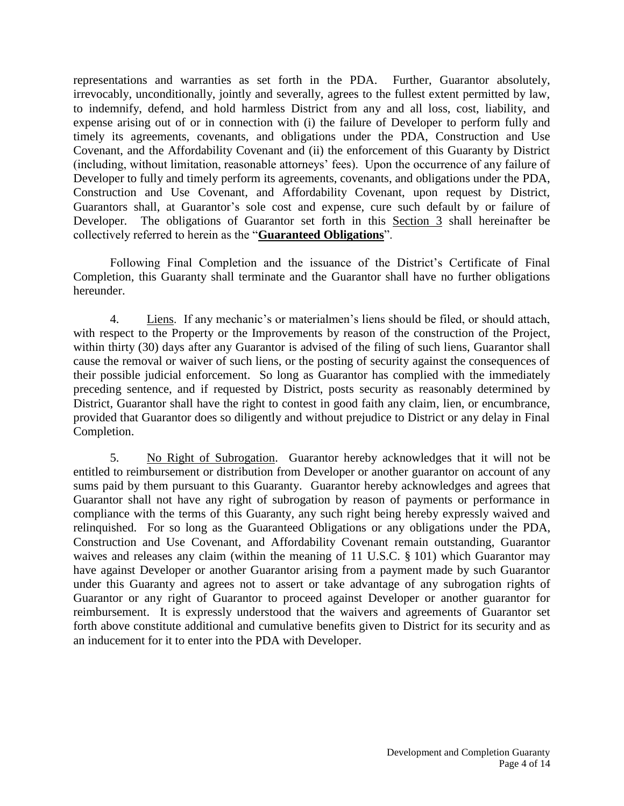representations and warranties as set forth in the PDA. Further, Guarantor absolutely, irrevocably, unconditionally, jointly and severally, agrees to the fullest extent permitted by law, to indemnify, defend, and hold harmless District from any and all loss, cost, liability, and expense arising out of or in connection with (i) the failure of Developer to perform fully and timely its agreements, covenants, and obligations under the PDA, Construction and Use Covenant, and the Affordability Covenant and (ii) the enforcement of this Guaranty by District (including, without limitation, reasonable attorneys' fees). Upon the occurrence of any failure of Developer to fully and timely perform its agreements, covenants, and obligations under the PDA, Construction and Use Covenant, and Affordability Covenant, upon request by District, Guarantors shall, at Guarantor's sole cost and expense, cure such default by or failure of Developer. The obligations of Guarantor set forth in this Section 3 shall hereinafter be collectively referred to herein as the "**Guaranteed Obligations**".

Following Final Completion and the issuance of the District's Certificate of Final Completion, this Guaranty shall terminate and the Guarantor shall have no further obligations hereunder.

4. Liens. If any mechanic's or materialmen's liens should be filed, or should attach, with respect to the Property or the Improvements by reason of the construction of the Project, within thirty (30) days after any Guarantor is advised of the filing of such liens, Guarantor shall cause the removal or waiver of such liens, or the posting of security against the consequences of their possible judicial enforcement. So long as Guarantor has complied with the immediately preceding sentence, and if requested by District, posts security as reasonably determined by District, Guarantor shall have the right to contest in good faith any claim, lien, or encumbrance, provided that Guarantor does so diligently and without prejudice to District or any delay in Final Completion.

5. No Right of Subrogation. Guarantor hereby acknowledges that it will not be entitled to reimbursement or distribution from Developer or another guarantor on account of any sums paid by them pursuant to this Guaranty. Guarantor hereby acknowledges and agrees that Guarantor shall not have any right of subrogation by reason of payments or performance in compliance with the terms of this Guaranty, any such right being hereby expressly waived and relinquished. For so long as the Guaranteed Obligations or any obligations under the PDA, Construction and Use Covenant, and Affordability Covenant remain outstanding, Guarantor waives and releases any claim (within the meaning of 11 U.S.C. § 101) which Guarantor may have against Developer or another Guarantor arising from a payment made by such Guarantor under this Guaranty and agrees not to assert or take advantage of any subrogation rights of Guarantor or any right of Guarantor to proceed against Developer or another guarantor for reimbursement. It is expressly understood that the waivers and agreements of Guarantor set forth above constitute additional and cumulative benefits given to District for its security and as an inducement for it to enter into the PDA with Developer.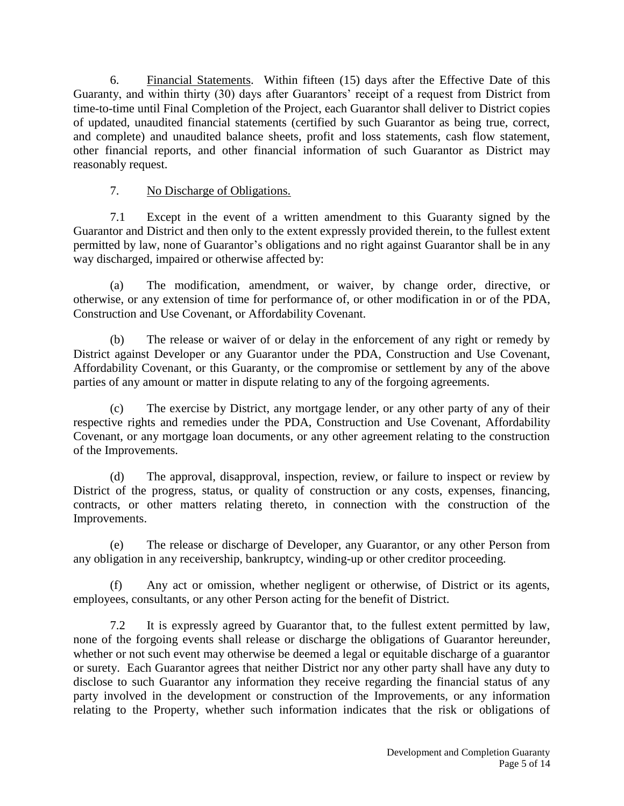6. Financial Statements. Within fifteen (15) days after the Effective Date of this Guaranty, and within thirty (30) days after Guarantors' receipt of a request from District from time-to-time until Final Completion of the Project, each Guarantor shall deliver to District copies of updated, unaudited financial statements (certified by such Guarantor as being true, correct, and complete) and unaudited balance sheets, profit and loss statements, cash flow statement, other financial reports, and other financial information of such Guarantor as District may reasonably request.

# 7. No Discharge of Obligations.

7.1 Except in the event of a written amendment to this Guaranty signed by the Guarantor and District and then only to the extent expressly provided therein, to the fullest extent permitted by law, none of Guarantor's obligations and no right against Guarantor shall be in any way discharged, impaired or otherwise affected by:

(a) The modification, amendment, or waiver, by change order, directive, or otherwise, or any extension of time for performance of, or other modification in or of the PDA, Construction and Use Covenant, or Affordability Covenant.

(b) The release or waiver of or delay in the enforcement of any right or remedy by District against Developer or any Guarantor under the PDA, Construction and Use Covenant, Affordability Covenant, or this Guaranty, or the compromise or settlement by any of the above parties of any amount or matter in dispute relating to any of the forgoing agreements.

(c) The exercise by District, any mortgage lender, or any other party of any of their respective rights and remedies under the PDA, Construction and Use Covenant, Affordability Covenant, or any mortgage loan documents, or any other agreement relating to the construction of the Improvements.

(d) The approval, disapproval, inspection, review, or failure to inspect or review by District of the progress, status, or quality of construction or any costs, expenses, financing, contracts, or other matters relating thereto, in connection with the construction of the Improvements.

(e) The release or discharge of Developer, any Guarantor, or any other Person from any obligation in any receivership, bankruptcy, winding-up or other creditor proceeding.

(f) Any act or omission, whether negligent or otherwise, of District or its agents, employees, consultants, or any other Person acting for the benefit of District.

7.2 It is expressly agreed by Guarantor that, to the fullest extent permitted by law, none of the forgoing events shall release or discharge the obligations of Guarantor hereunder, whether or not such event may otherwise be deemed a legal or equitable discharge of a guarantor or surety. Each Guarantor agrees that neither District nor any other party shall have any duty to disclose to such Guarantor any information they receive regarding the financial status of any party involved in the development or construction of the Improvements, or any information relating to the Property, whether such information indicates that the risk or obligations of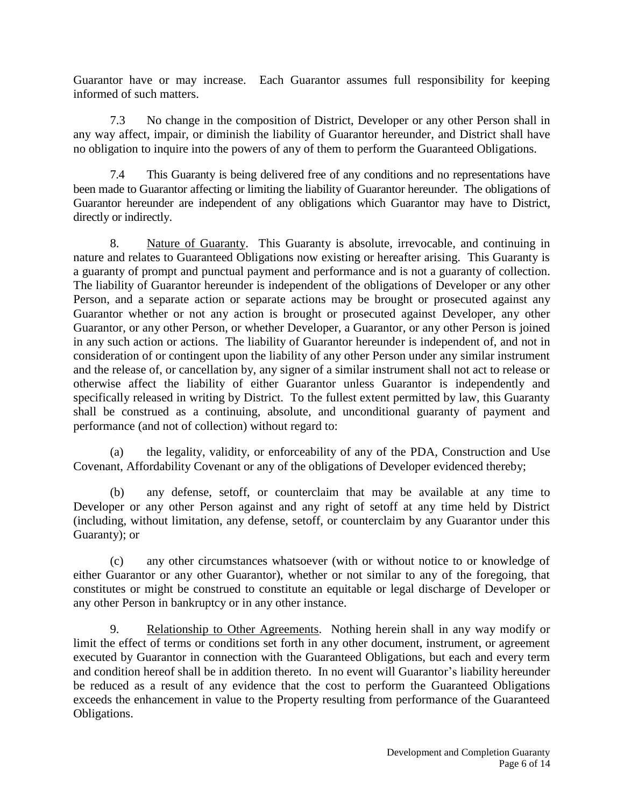Guarantor have or may increase. Each Guarantor assumes full responsibility for keeping informed of such matters.

7.3 No change in the composition of District, Developer or any other Person shall in any way affect, impair, or diminish the liability of Guarantor hereunder, and District shall have no obligation to inquire into the powers of any of them to perform the Guaranteed Obligations.

7.4 This Guaranty is being delivered free of any conditions and no representations have been made to Guarantor affecting or limiting the liability of Guarantor hereunder. The obligations of Guarantor hereunder are independent of any obligations which Guarantor may have to District, directly or indirectly.

8. Nature of Guaranty. This Guaranty is absolute, irrevocable, and continuing in nature and relates to Guaranteed Obligations now existing or hereafter arising. This Guaranty is a guaranty of prompt and punctual payment and performance and is not a guaranty of collection. The liability of Guarantor hereunder is independent of the obligations of Developer or any other Person, and a separate action or separate actions may be brought or prosecuted against any Guarantor whether or not any action is brought or prosecuted against Developer, any other Guarantor, or any other Person, or whether Developer, a Guarantor, or any other Person is joined in any such action or actions. The liability of Guarantor hereunder is independent of, and not in consideration of or contingent upon the liability of any other Person under any similar instrument and the release of, or cancellation by, any signer of a similar instrument shall not act to release or otherwise affect the liability of either Guarantor unless Guarantor is independently and specifically released in writing by District. To the fullest extent permitted by law, this Guaranty shall be construed as a continuing, absolute, and unconditional guaranty of payment and performance (and not of collection) without regard to:

(a) the legality, validity, or enforceability of any of the PDA, Construction and Use Covenant, Affordability Covenant or any of the obligations of Developer evidenced thereby;

(b) any defense, setoff, or counterclaim that may be available at any time to Developer or any other Person against and any right of setoff at any time held by District (including, without limitation, any defense, setoff, or counterclaim by any Guarantor under this Guaranty); or

(c) any other circumstances whatsoever (with or without notice to or knowledge of either Guarantor or any other Guarantor), whether or not similar to any of the foregoing, that constitutes or might be construed to constitute an equitable or legal discharge of Developer or any other Person in bankruptcy or in any other instance.

9. Relationship to Other Agreements. Nothing herein shall in any way modify or limit the effect of terms or conditions set forth in any other document, instrument, or agreement executed by Guarantor in connection with the Guaranteed Obligations, but each and every term and condition hereof shall be in addition thereto. In no event will Guarantor's liability hereunder be reduced as a result of any evidence that the cost to perform the Guaranteed Obligations exceeds the enhancement in value to the Property resulting from performance of the Guaranteed Obligations.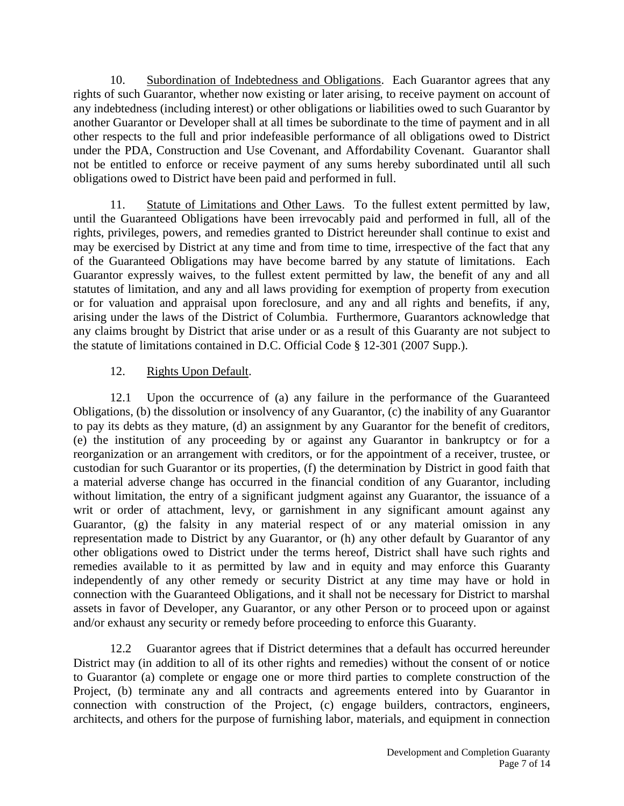10. Subordination of Indebtedness and Obligations. Each Guarantor agrees that any rights of such Guarantor, whether now existing or later arising, to receive payment on account of any indebtedness (including interest) or other obligations or liabilities owed to such Guarantor by another Guarantor or Developer shall at all times be subordinate to the time of payment and in all other respects to the full and prior indefeasible performance of all obligations owed to District under the PDA, Construction and Use Covenant, and Affordability Covenant. Guarantor shall not be entitled to enforce or receive payment of any sums hereby subordinated until all such obligations owed to District have been paid and performed in full.

11. Statute of Limitations and Other Laws. To the fullest extent permitted by law, until the Guaranteed Obligations have been irrevocably paid and performed in full, all of the rights, privileges, powers, and remedies granted to District hereunder shall continue to exist and may be exercised by District at any time and from time to time, irrespective of the fact that any of the Guaranteed Obligations may have become barred by any statute of limitations. Each Guarantor expressly waives, to the fullest extent permitted by law, the benefit of any and all statutes of limitation, and any and all laws providing for exemption of property from execution or for valuation and appraisal upon foreclosure, and any and all rights and benefits, if any, arising under the laws of the District of Columbia. Furthermore, Guarantors acknowledge that any claims brought by District that arise under or as a result of this Guaranty are not subject to the statute of limitations contained in D.C. Official Code § 12-301 (2007 Supp.).

# 12. Rights Upon Default.

12.1 Upon the occurrence of (a) any failure in the performance of the Guaranteed Obligations, (b) the dissolution or insolvency of any Guarantor, (c) the inability of any Guarantor to pay its debts as they mature, (d) an assignment by any Guarantor for the benefit of creditors, (e) the institution of any proceeding by or against any Guarantor in bankruptcy or for a reorganization or an arrangement with creditors, or for the appointment of a receiver, trustee, or custodian for such Guarantor or its properties, (f) the determination by District in good faith that a material adverse change has occurred in the financial condition of any Guarantor, including without limitation, the entry of a significant judgment against any Guarantor, the issuance of a writ or order of attachment, levy, or garnishment in any significant amount against any Guarantor, (g) the falsity in any material respect of or any material omission in any representation made to District by any Guarantor, or (h) any other default by Guarantor of any other obligations owed to District under the terms hereof, District shall have such rights and remedies available to it as permitted by law and in equity and may enforce this Guaranty independently of any other remedy or security District at any time may have or hold in connection with the Guaranteed Obligations, and it shall not be necessary for District to marshal assets in favor of Developer, any Guarantor, or any other Person or to proceed upon or against and/or exhaust any security or remedy before proceeding to enforce this Guaranty.

12.2 Guarantor agrees that if District determines that a default has occurred hereunder District may (in addition to all of its other rights and remedies) without the consent of or notice to Guarantor (a) complete or engage one or more third parties to complete construction of the Project, (b) terminate any and all contracts and agreements entered into by Guarantor in connection with construction of the Project, (c) engage builders, contractors, engineers, architects, and others for the purpose of furnishing labor, materials, and equipment in connection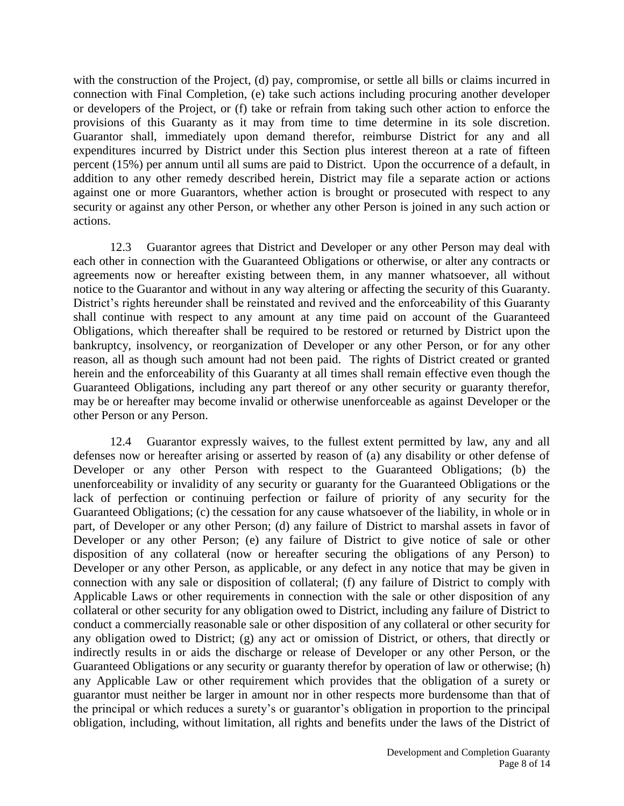with the construction of the Project, (d) pay, compromise, or settle all bills or claims incurred in connection with Final Completion, (e) take such actions including procuring another developer or developers of the Project, or (f) take or refrain from taking such other action to enforce the provisions of this Guaranty as it may from time to time determine in its sole discretion. Guarantor shall, immediately upon demand therefor, reimburse District for any and all expenditures incurred by District under this Section plus interest thereon at a rate of fifteen percent (15%) per annum until all sums are paid to District. Upon the occurrence of a default, in addition to any other remedy described herein, District may file a separate action or actions against one or more Guarantors, whether action is brought or prosecuted with respect to any security or against any other Person, or whether any other Person is joined in any such action or actions.

12.3 Guarantor agrees that District and Developer or any other Person may deal with each other in connection with the Guaranteed Obligations or otherwise, or alter any contracts or agreements now or hereafter existing between them, in any manner whatsoever, all without notice to the Guarantor and without in any way altering or affecting the security of this Guaranty. District's rights hereunder shall be reinstated and revived and the enforceability of this Guaranty shall continue with respect to any amount at any time paid on account of the Guaranteed Obligations, which thereafter shall be required to be restored or returned by District upon the bankruptcy, insolvency, or reorganization of Developer or any other Person, or for any other reason, all as though such amount had not been paid. The rights of District created or granted herein and the enforceability of this Guaranty at all times shall remain effective even though the Guaranteed Obligations, including any part thereof or any other security or guaranty therefor, may be or hereafter may become invalid or otherwise unenforceable as against Developer or the other Person or any Person.

12.4 Guarantor expressly waives, to the fullest extent permitted by law, any and all defenses now or hereafter arising or asserted by reason of (a) any disability or other defense of Developer or any other Person with respect to the Guaranteed Obligations; (b) the unenforceability or invalidity of any security or guaranty for the Guaranteed Obligations or the lack of perfection or continuing perfection or failure of priority of any security for the Guaranteed Obligations; (c) the cessation for any cause whatsoever of the liability, in whole or in part, of Developer or any other Person; (d) any failure of District to marshal assets in favor of Developer or any other Person; (e) any failure of District to give notice of sale or other disposition of any collateral (now or hereafter securing the obligations of any Person) to Developer or any other Person, as applicable, or any defect in any notice that may be given in connection with any sale or disposition of collateral; (f) any failure of District to comply with Applicable Laws or other requirements in connection with the sale or other disposition of any collateral or other security for any obligation owed to District, including any failure of District to conduct a commercially reasonable sale or other disposition of any collateral or other security for any obligation owed to District; (g) any act or omission of District, or others, that directly or indirectly results in or aids the discharge or release of Developer or any other Person, or the Guaranteed Obligations or any security or guaranty therefor by operation of law or otherwise; (h) any Applicable Law or other requirement which provides that the obligation of a surety or guarantor must neither be larger in amount nor in other respects more burdensome than that of the principal or which reduces a surety's or guarantor's obligation in proportion to the principal obligation, including, without limitation, all rights and benefits under the laws of the District of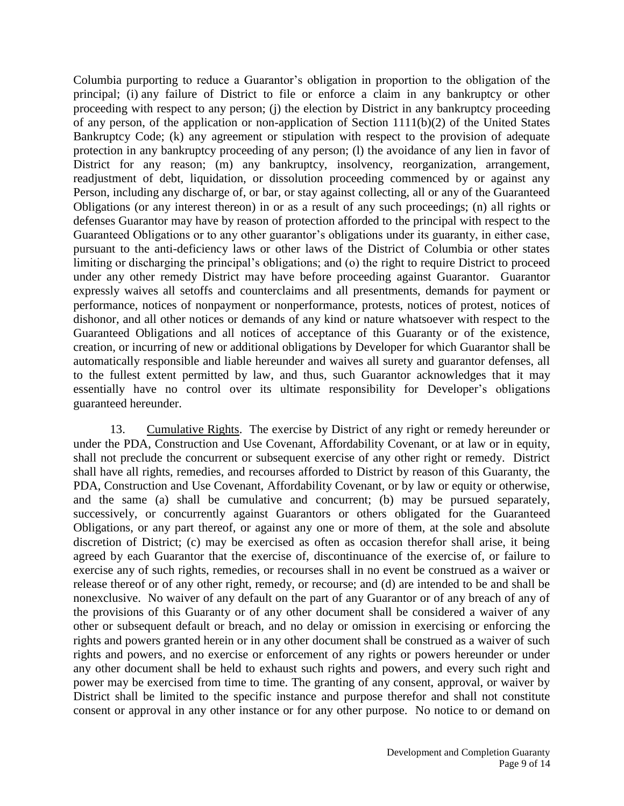Columbia purporting to reduce a Guarantor's obligation in proportion to the obligation of the principal; (i) any failure of District to file or enforce a claim in any bankruptcy or other proceeding with respect to any person; (j) the election by District in any bankruptcy proceeding of any person, of the application or non-application of Section 1111(b)(2) of the United States Bankruptcy Code; (k) any agreement or stipulation with respect to the provision of adequate protection in any bankruptcy proceeding of any person; (l) the avoidance of any lien in favor of District for any reason; (m) any bankruptcy, insolvency, reorganization, arrangement, readjustment of debt, liquidation, or dissolution proceeding commenced by or against any Person, including any discharge of, or bar, or stay against collecting, all or any of the Guaranteed Obligations (or any interest thereon) in or as a result of any such proceedings; (n) all rights or defenses Guarantor may have by reason of protection afforded to the principal with respect to the Guaranteed Obligations or to any other guarantor's obligations under its guaranty, in either case, pursuant to the anti-deficiency laws or other laws of the District of Columbia or other states limiting or discharging the principal's obligations; and (o) the right to require District to proceed under any other remedy District may have before proceeding against Guarantor. Guarantor expressly waives all setoffs and counterclaims and all presentments, demands for payment or performance, notices of nonpayment or nonperformance, protests, notices of protest, notices of dishonor, and all other notices or demands of any kind or nature whatsoever with respect to the Guaranteed Obligations and all notices of acceptance of this Guaranty or of the existence, creation, or incurring of new or additional obligations by Developer for which Guarantor shall be automatically responsible and liable hereunder and waives all surety and guarantor defenses, all to the fullest extent permitted by law, and thus, such Guarantor acknowledges that it may essentially have no control over its ultimate responsibility for Developer's obligations guaranteed hereunder.

13. Cumulative Rights. The exercise by District of any right or remedy hereunder or under the PDA, Construction and Use Covenant, Affordability Covenant, or at law or in equity, shall not preclude the concurrent or subsequent exercise of any other right or remedy. District shall have all rights, remedies, and recourses afforded to District by reason of this Guaranty, the PDA, Construction and Use Covenant, Affordability Covenant, or by law or equity or otherwise, and the same (a) shall be cumulative and concurrent; (b) may be pursued separately, successively, or concurrently against Guarantors or others obligated for the Guaranteed Obligations, or any part thereof, or against any one or more of them, at the sole and absolute discretion of District; (c) may be exercised as often as occasion therefor shall arise, it being agreed by each Guarantor that the exercise of, discontinuance of the exercise of, or failure to exercise any of such rights, remedies, or recourses shall in no event be construed as a waiver or release thereof or of any other right, remedy, or recourse; and (d) are intended to be and shall be nonexclusive. No waiver of any default on the part of any Guarantor or of any breach of any of the provisions of this Guaranty or of any other document shall be considered a waiver of any other or subsequent default or breach, and no delay or omission in exercising or enforcing the rights and powers granted herein or in any other document shall be construed as a waiver of such rights and powers, and no exercise or enforcement of any rights or powers hereunder or under any other document shall be held to exhaust such rights and powers, and every such right and power may be exercised from time to time. The granting of any consent, approval, or waiver by District shall be limited to the specific instance and purpose therefor and shall not constitute consent or approval in any other instance or for any other purpose. No notice to or demand on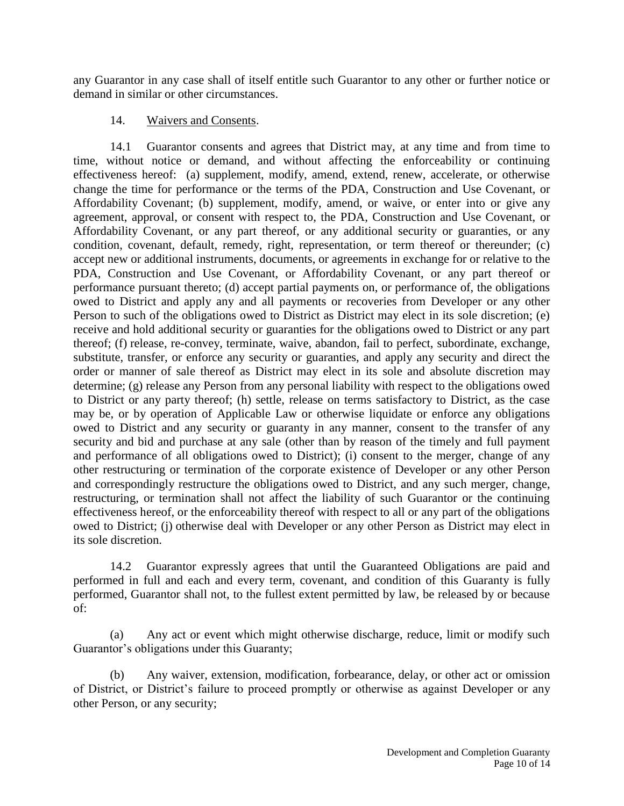any Guarantor in any case shall of itself entitle such Guarantor to any other or further notice or demand in similar or other circumstances.

## 14. Waivers and Consents.

14.1 Guarantor consents and agrees that District may, at any time and from time to time, without notice or demand, and without affecting the enforceability or continuing effectiveness hereof: (a) supplement, modify, amend, extend, renew, accelerate, or otherwise change the time for performance or the terms of the PDA, Construction and Use Covenant, or Affordability Covenant; (b) supplement, modify, amend, or waive, or enter into or give any agreement, approval, or consent with respect to, the PDA, Construction and Use Covenant, or Affordability Covenant, or any part thereof, or any additional security or guaranties, or any condition, covenant, default, remedy, right, representation, or term thereof or thereunder; (c) accept new or additional instruments, documents, or agreements in exchange for or relative to the PDA, Construction and Use Covenant, or Affordability Covenant, or any part thereof or performance pursuant thereto; (d) accept partial payments on, or performance of, the obligations owed to District and apply any and all payments or recoveries from Developer or any other Person to such of the obligations owed to District as District may elect in its sole discretion; (e) receive and hold additional security or guaranties for the obligations owed to District or any part thereof; (f) release, re-convey, terminate, waive, abandon, fail to perfect, subordinate, exchange, substitute, transfer, or enforce any security or guaranties, and apply any security and direct the order or manner of sale thereof as District may elect in its sole and absolute discretion may determine; (g) release any Person from any personal liability with respect to the obligations owed to District or any party thereof; (h) settle, release on terms satisfactory to District, as the case may be, or by operation of Applicable Law or otherwise liquidate or enforce any obligations owed to District and any security or guaranty in any manner, consent to the transfer of any security and bid and purchase at any sale (other than by reason of the timely and full payment and performance of all obligations owed to District); (i) consent to the merger, change of any other restructuring or termination of the corporate existence of Developer or any other Person and correspondingly restructure the obligations owed to District, and any such merger, change, restructuring, or termination shall not affect the liability of such Guarantor or the continuing effectiveness hereof, or the enforceability thereof with respect to all or any part of the obligations owed to District; (j) otherwise deal with Developer or any other Person as District may elect in its sole discretion.

14.2 Guarantor expressly agrees that until the Guaranteed Obligations are paid and performed in full and each and every term, covenant, and condition of this Guaranty is fully performed, Guarantor shall not, to the fullest extent permitted by law, be released by or because of:

(a) Any act or event which might otherwise discharge, reduce, limit or modify such Guarantor's obligations under this Guaranty;

(b) Any waiver, extension, modification, forbearance, delay, or other act or omission of District, or District's failure to proceed promptly or otherwise as against Developer or any other Person, or any security;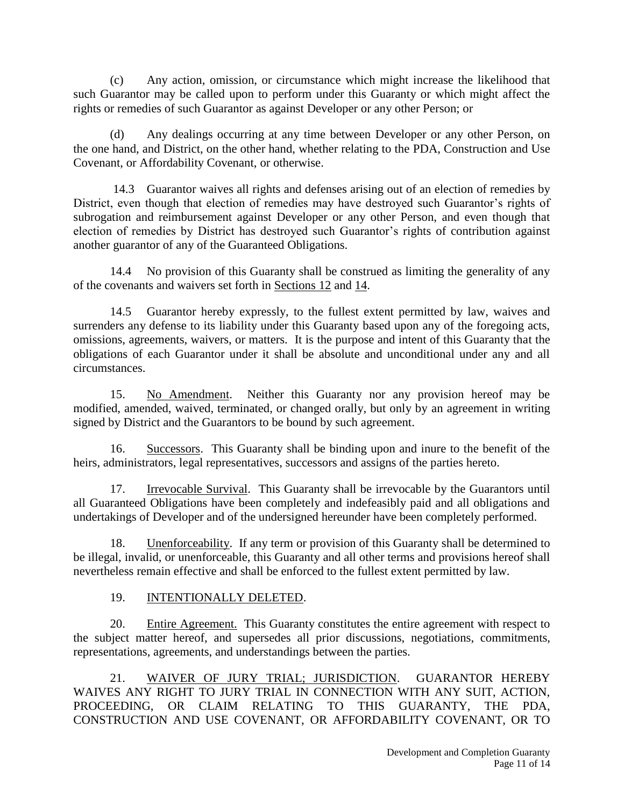(c) Any action, omission, or circumstance which might increase the likelihood that such Guarantor may be called upon to perform under this Guaranty or which might affect the rights or remedies of such Guarantor as against Developer or any other Person; or

(d) Any dealings occurring at any time between Developer or any other Person, on the one hand, and District, on the other hand, whether relating to the PDA, Construction and Use Covenant, or Affordability Covenant, or otherwise.

14.3 Guarantor waives all rights and defenses arising out of an election of remedies by District, even though that election of remedies may have destroyed such Guarantor's rights of subrogation and reimbursement against Developer or any other Person, and even though that election of remedies by District has destroyed such Guarantor's rights of contribution against another guarantor of any of the Guaranteed Obligations.

14.4 No provision of this Guaranty shall be construed as limiting the generality of any of the covenants and waivers set forth in Sections 12 and 14.

14.5 Guarantor hereby expressly, to the fullest extent permitted by law, waives and surrenders any defense to its liability under this Guaranty based upon any of the foregoing acts, omissions, agreements, waivers, or matters. It is the purpose and intent of this Guaranty that the obligations of each Guarantor under it shall be absolute and unconditional under any and all circumstances.

15. No Amendment. Neither this Guaranty nor any provision hereof may be modified, amended, waived, terminated, or changed orally, but only by an agreement in writing signed by District and the Guarantors to be bound by such agreement.

16. Successors. This Guaranty shall be binding upon and inure to the benefit of the heirs, administrators, legal representatives, successors and assigns of the parties hereto.

17. Irrevocable Survival. This Guaranty shall be irrevocable by the Guarantors until all Guaranteed Obligations have been completely and indefeasibly paid and all obligations and undertakings of Developer and of the undersigned hereunder have been completely performed.

18. Unenforceability. If any term or provision of this Guaranty shall be determined to be illegal, invalid, or unenforceable, this Guaranty and all other terms and provisions hereof shall nevertheless remain effective and shall be enforced to the fullest extent permitted by law.

## 19. INTENTIONALLY DELETED.

20. Entire Agreement. This Guaranty constitutes the entire agreement with respect to the subject matter hereof, and supersedes all prior discussions, negotiations, commitments, representations, agreements, and understandings between the parties.

21. WAIVER OF JURY TRIAL; JURISDICTION. GUARANTOR HEREBY WAIVES ANY RIGHT TO JURY TRIAL IN CONNECTION WITH ANY SUIT, ACTION, PROCEEDING, OR CLAIM RELATING TO THIS GUARANTY, THE PDA, CONSTRUCTION AND USE COVENANT, OR AFFORDABILITY COVENANT, OR TO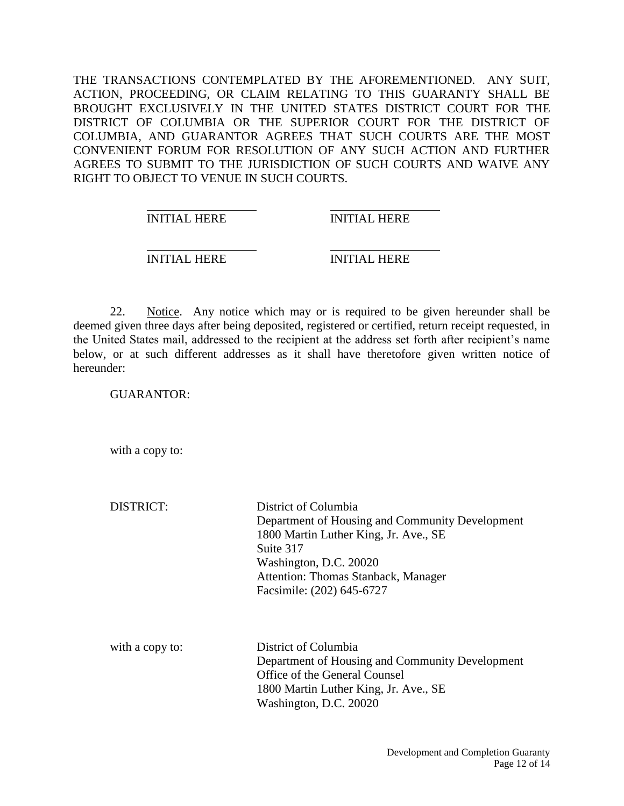THE TRANSACTIONS CONTEMPLATED BY THE AFOREMENTIONED. ANY SUIT, ACTION, PROCEEDING, OR CLAIM RELATING TO THIS GUARANTY SHALL BE BROUGHT EXCLUSIVELY IN THE UNITED STATES DISTRICT COURT FOR THE DISTRICT OF COLUMBIA OR THE SUPERIOR COURT FOR THE DISTRICT OF COLUMBIA, AND GUARANTOR AGREES THAT SUCH COURTS ARE THE MOST CONVENIENT FORUM FOR RESOLUTION OF ANY SUCH ACTION AND FURTHER AGREES TO SUBMIT TO THE JURISDICTION OF SUCH COURTS AND WAIVE ANY RIGHT TO OBJECT TO VENUE IN SUCH COURTS.

INITIAL HERE INITIAL HERE

INITIAL HERE INITIAL HERE

22. Notice. Any notice which may or is required to be given hereunder shall be deemed given three days after being deposited, registered or certified, return receipt requested, in the United States mail, addressed to the recipient at the address set forth after recipient's name below, or at such different addresses as it shall have theretofore given written notice of hereunder:

GUARANTOR:

with a copy to:

DISTRICT: District of Columbia Department of Housing and Community Development 1800 Martin Luther King, Jr. Ave., SE Suite 317 Washington, D.C. 20020 Attention: Thomas Stanback, Manager Facsimile: (202) 645-6727

with a copy to: District of Columbia Department of Housing and Community Development Office of the General Counsel 1800 Martin Luther King, Jr. Ave., SE Washington, D.C. 20020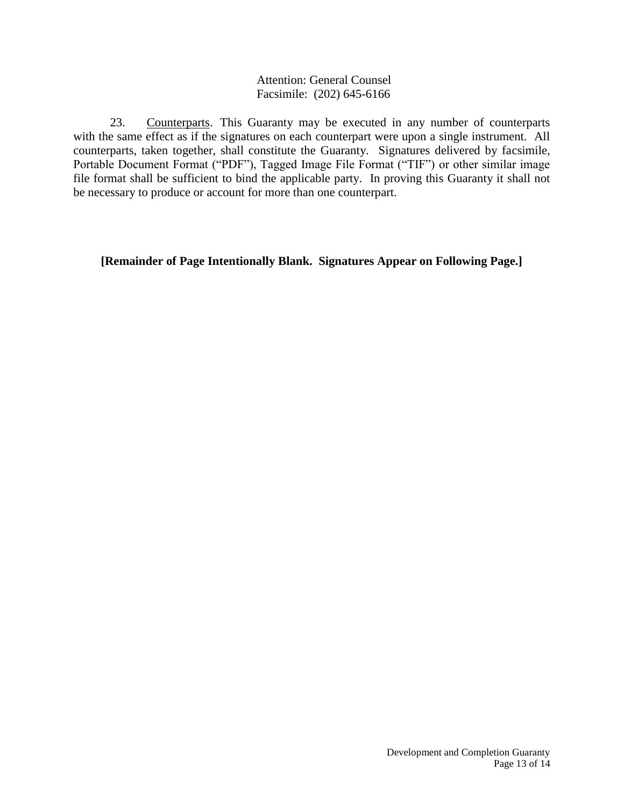### Attention: General Counsel Facsimile: (202) 645-6166

23. Counterparts. This Guaranty may be executed in any number of counterparts with the same effect as if the signatures on each counterpart were upon a single instrument. All counterparts, taken together, shall constitute the Guaranty. Signatures delivered by facsimile, Portable Document Format ("PDF"), Tagged Image File Format ("TIF") or other similar image file format shall be sufficient to bind the applicable party. In proving this Guaranty it shall not be necessary to produce or account for more than one counterpart.

**[Remainder of Page Intentionally Blank. Signatures Appear on Following Page.]**